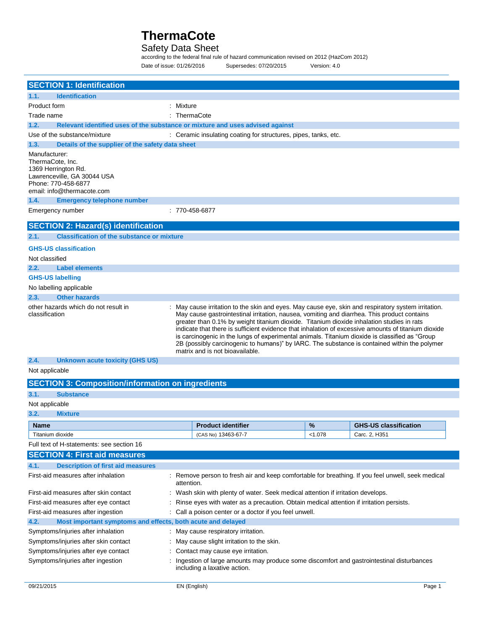## Safety Data Sheet

according to the federal final rule of hazard communication revised on 2012 (HazCom 2012) Date of issue: 01/26/2016 Supersedes: 07/20/2015 Version: 4.0

|                | <b>SECTION 1: Identification</b>                                              |                |                                                                                                                                                                                                                                                                                                                                                                                                                                                                                                                                                                                                                                              |         |                              |
|----------------|-------------------------------------------------------------------------------|----------------|----------------------------------------------------------------------------------------------------------------------------------------------------------------------------------------------------------------------------------------------------------------------------------------------------------------------------------------------------------------------------------------------------------------------------------------------------------------------------------------------------------------------------------------------------------------------------------------------------------------------------------------------|---------|------------------------------|
| 1.1.           | <b>Identification</b>                                                         |                |                                                                                                                                                                                                                                                                                                                                                                                                                                                                                                                                                                                                                                              |         |                              |
| Product form   |                                                                               | : Mixture      |                                                                                                                                                                                                                                                                                                                                                                                                                                                                                                                                                                                                                                              |         |                              |
| Trade name     |                                                                               | $:$ ThermaCote |                                                                                                                                                                                                                                                                                                                                                                                                                                                                                                                                                                                                                                              |         |                              |
| 1.2.           | Relevant identified uses of the substance or mixture and uses advised against |                |                                                                                                                                                                                                                                                                                                                                                                                                                                                                                                                                                                                                                                              |         |                              |
|                | Use of the substance/mixture                                                  |                | : Ceramic insulating coating for structures, pipes, tanks, etc.                                                                                                                                                                                                                                                                                                                                                                                                                                                                                                                                                                              |         |                              |
| 1.3.           | Details of the supplier of the safety data sheet                              |                |                                                                                                                                                                                                                                                                                                                                                                                                                                                                                                                                                                                                                                              |         |                              |
| Manufacturer:  | ThermaCote, Inc.<br>1369 Herrington Rd.<br>Lawrenceville, GA 30044 USA        |                |                                                                                                                                                                                                                                                                                                                                                                                                                                                                                                                                                                                                                                              |         |                              |
|                | Phone: 770-458-6877<br>email: info@thermacote.com                             |                |                                                                                                                                                                                                                                                                                                                                                                                                                                                                                                                                                                                                                                              |         |                              |
| 1.4.           | <b>Emergency telephone number</b>                                             |                |                                                                                                                                                                                                                                                                                                                                                                                                                                                                                                                                                                                                                                              |         |                              |
|                | Emergency number                                                              |                | : 770-458-6877                                                                                                                                                                                                                                                                                                                                                                                                                                                                                                                                                                                                                               |         |                              |
|                | <b>SECTION 2: Hazard(s) identification</b>                                    |                |                                                                                                                                                                                                                                                                                                                                                                                                                                                                                                                                                                                                                                              |         |                              |
| 2.1.           | <b>Classification of the substance or mixture</b>                             |                |                                                                                                                                                                                                                                                                                                                                                                                                                                                                                                                                                                                                                                              |         |                              |
|                | <b>GHS-US classification</b>                                                  |                |                                                                                                                                                                                                                                                                                                                                                                                                                                                                                                                                                                                                                                              |         |                              |
| Not classified |                                                                               |                |                                                                                                                                                                                                                                                                                                                                                                                                                                                                                                                                                                                                                                              |         |                              |
| 2.2.           | <b>Label elements</b>                                                         |                |                                                                                                                                                                                                                                                                                                                                                                                                                                                                                                                                                                                                                                              |         |                              |
|                | <b>GHS-US labelling</b>                                                       |                |                                                                                                                                                                                                                                                                                                                                                                                                                                                                                                                                                                                                                                              |         |                              |
|                | No labelling applicable                                                       |                |                                                                                                                                                                                                                                                                                                                                                                                                                                                                                                                                                                                                                                              |         |                              |
| 2.3.           | <b>Other hazards</b>                                                          |                |                                                                                                                                                                                                                                                                                                                                                                                                                                                                                                                                                                                                                                              |         |                              |
| classification | other hazards which do not result in                                          |                | : May cause irritation to the skin and eyes. May cause eye, skin and respiratory system irritation.<br>May cause gastrointestinal irritation, nausea, vomiting and diarrhea. This product contains<br>greater than 0.1% by weight titanium dioxide. Titanium dioxide inhalation studies in rats<br>indicate that there is sufficient evidence that inhalation of excessive amounts of titanium dioxide<br>is carcinogenic in the lungs of experimental animals. Titanium dioxide is classified as "Group"<br>2B (possibly carcinogenic to humans)" by IARC. The substance is contained within the polymer<br>matrix and is not bioavailable. |         |                              |
| 2.4.           | <b>Unknown acute toxicity (GHS US)</b>                                        |                |                                                                                                                                                                                                                                                                                                                                                                                                                                                                                                                                                                                                                                              |         |                              |
| Not applicable |                                                                               |                |                                                                                                                                                                                                                                                                                                                                                                                                                                                                                                                                                                                                                                              |         |                              |
|                | <b>SECTION 3: Composition/information on ingredients</b>                      |                |                                                                                                                                                                                                                                                                                                                                                                                                                                                                                                                                                                                                                                              |         |                              |
| 3.1.           | <b>Substance</b>                                                              |                |                                                                                                                                                                                                                                                                                                                                                                                                                                                                                                                                                                                                                                              |         |                              |
| Not applicable |                                                                               |                |                                                                                                                                                                                                                                                                                                                                                                                                                                                                                                                                                                                                                                              |         |                              |
| 3.2.           | <b>Mixture</b>                                                                |                |                                                                                                                                                                                                                                                                                                                                                                                                                                                                                                                                                                                                                                              |         |                              |
| <b>Name</b>    |                                                                               |                | <b>Product identifier</b>                                                                                                                                                                                                                                                                                                                                                                                                                                                                                                                                                                                                                    | %       | <b>GHS-US classification</b> |
|                | Titanium dioxide                                                              |                | (CAS No) 13463-67-7                                                                                                                                                                                                                                                                                                                                                                                                                                                                                                                                                                                                                          | < 1.078 | Carc. 2, H351                |
|                | Full text of H-statements: see section 16                                     |                |                                                                                                                                                                                                                                                                                                                                                                                                                                                                                                                                                                                                                                              |         |                              |
|                | <b>SECTION 4: First aid measures</b>                                          |                |                                                                                                                                                                                                                                                                                                                                                                                                                                                                                                                                                                                                                                              |         |                              |
| 4.1.           | <b>Description of first aid measures</b>                                      |                |                                                                                                                                                                                                                                                                                                                                                                                                                                                                                                                                                                                                                                              |         |                              |
|                | First-aid measures after inhalation                                           | attention.     | : Remove person to fresh air and keep comfortable for breathing. If you feel unwell, seek medical                                                                                                                                                                                                                                                                                                                                                                                                                                                                                                                                            |         |                              |
|                | First-aid measures after skin contact                                         |                | : Wash skin with plenty of water. Seek medical attention if irritation develops.                                                                                                                                                                                                                                                                                                                                                                                                                                                                                                                                                             |         |                              |
|                | First-aid measures after eye contact                                          |                | Rinse eyes with water as a precaution. Obtain medical attention if irritation persists.                                                                                                                                                                                                                                                                                                                                                                                                                                                                                                                                                      |         |                              |
|                | First-aid measures after ingestion                                            |                | : Call a poison center or a doctor if you feel unwell.                                                                                                                                                                                                                                                                                                                                                                                                                                                                                                                                                                                       |         |                              |
| 4.2.           | Most important symptoms and effects, both acute and delayed                   |                |                                                                                                                                                                                                                                                                                                                                                                                                                                                                                                                                                                                                                                              |         |                              |
|                | Symptoms/injuries after inhalation                                            |                | : May cause respiratory irritation.                                                                                                                                                                                                                                                                                                                                                                                                                                                                                                                                                                                                          |         |                              |
|                | Symptoms/injuries after skin contact                                          |                | : May cause slight irritation to the skin.                                                                                                                                                                                                                                                                                                                                                                                                                                                                                                                                                                                                   |         |                              |
|                | Symptoms/injuries after eye contact                                           |                | : Contact may cause eye irritation.                                                                                                                                                                                                                                                                                                                                                                                                                                                                                                                                                                                                          |         |                              |
|                | Symptoms/injuries after ingestion                                             |                | Ingestion of large amounts may produce some discomfort and gastrointestinal disturbances                                                                                                                                                                                                                                                                                                                                                                                                                                                                                                                                                     |         |                              |
|                |                                                                               |                | including a laxative action.                                                                                                                                                                                                                                                                                                                                                                                                                                                                                                                                                                                                                 |         |                              |

 $\overline{\phantom{a}}$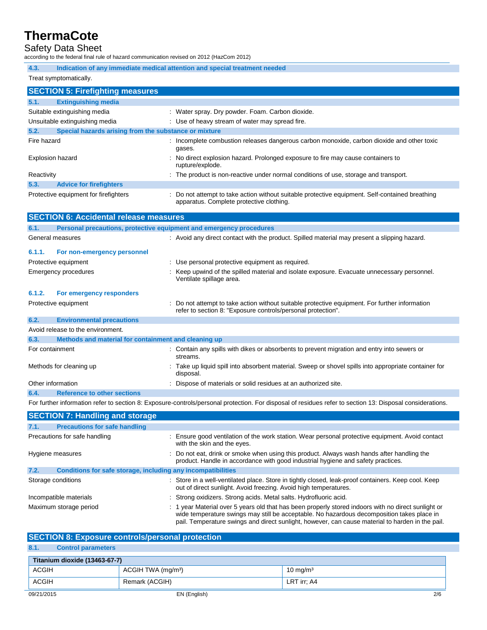### Safety Data Sheet

according to the federal final rule of hazard communication revised on 2012 (HazCom 2012)

| 4.3.                                                          | Indication of any immediate medical attention and special treatment needed                                                                  |  |  |  |
|---------------------------------------------------------------|---------------------------------------------------------------------------------------------------------------------------------------------|--|--|--|
| Treat symptomatically.                                        |                                                                                                                                             |  |  |  |
| <b>SECTION 5: Firefighting measures</b>                       |                                                                                                                                             |  |  |  |
| 5.1.<br><b>Extinguishing media</b>                            |                                                                                                                                             |  |  |  |
| Suitable extinguishing media                                  | : Water spray. Dry powder. Foam. Carbon dioxide.                                                                                            |  |  |  |
| Unsuitable extinguishing media                                | : Use of heavy stream of water may spread fire.                                                                                             |  |  |  |
| Special hazards arising from the substance or mixture<br>5.2. |                                                                                                                                             |  |  |  |
| Fire hazard                                                   | : Incomplete combustion releases dangerous carbon monoxide, carbon dioxide and other toxic<br>gases.                                        |  |  |  |
| Explosion hazard                                              | : No direct explosion hazard. Prolonged exposure to fire may cause containers to<br>rupture/explode.                                        |  |  |  |
| Reactivity                                                    | : The product is non-reactive under normal conditions of use, storage and transport.                                                        |  |  |  |
| 5.3.<br><b>Advice for firefighters</b>                        |                                                                                                                                             |  |  |  |
| Protective equipment for firefighters                         | : Do not attempt to take action without suitable protective equipment. Self-contained breathing<br>apparatus. Complete protective clothing. |  |  |  |
| <b>SECTION 6: Accidental release measures</b>                 |                                                                                                                                             |  |  |  |
|                                                               |                                                                                                                                             |  |  |  |

| 6.1.              | Personal precautions, protective equipment and emergency procedures |                                                                                                                                                                |  |
|-------------------|---------------------------------------------------------------------|----------------------------------------------------------------------------------------------------------------------------------------------------------------|--|
|                   | General measures                                                    | : Avoid any direct contact with the product. Spilled material may present a slipping hazard.                                                                   |  |
| 6.1.1.            | For non-emergency personnel                                         |                                                                                                                                                                |  |
|                   | Protective equipment                                                | : Use personal protective equipment as required.                                                                                                               |  |
|                   | Emergency procedures                                                | : Keep upwind of the spilled material and isolate exposure. Evacuate unnecessary personnel.<br>Ventilate spillage area.                                        |  |
| 6.1.2.            | For emergency responders                                            |                                                                                                                                                                |  |
|                   | Protective equipment                                                | : Do not attempt to take action without suitable protective equipment. For further information<br>refer to section 8: "Exposure controls/personal protection". |  |
| 6.2.              | <b>Environmental precautions</b>                                    |                                                                                                                                                                |  |
|                   | Avoid release to the environment.                                   |                                                                                                                                                                |  |
| 6.3.              | Methods and material for containment and cleaning up                |                                                                                                                                                                |  |
| For containment   |                                                                     | : Contain any spills with dikes or absorbents to prevent migration and entry into sewers or<br>streams.                                                        |  |
|                   | Methods for cleaning up                                             | : Take up liquid spill into absorbent material. Sweep or shovel spills into appropriate container for<br>disposal.                                             |  |
| Other information |                                                                     | : Dispose of materials or solid residues at an authorized site.                                                                                                |  |
| 6.4.              | <b>Reference to other sections</b>                                  |                                                                                                                                                                |  |
|                   |                                                                     | For further information refer to section 8: Exposure-controls/personal protection. For disposal of residues refer to section 13: Disposal considerations.      |  |

| <b>SECTION 7: Handling and storage</b>                               |                                                                                                                                                                                                                                                                                                       |  |  |
|----------------------------------------------------------------------|-------------------------------------------------------------------------------------------------------------------------------------------------------------------------------------------------------------------------------------------------------------------------------------------------------|--|--|
| 7.1.<br><b>Precautions for safe handling</b>                         |                                                                                                                                                                                                                                                                                                       |  |  |
| Precautions for safe handling                                        | : Ensure good ventilation of the work station. Wear personal protective equipment. Avoid contact<br>with the skin and the eyes.                                                                                                                                                                       |  |  |
| Hygiene measures                                                     | : Do not eat, drink or smoke when using this product. Always wash hands after handling the<br>product. Handle in accordance with good industrial hygiene and safety practices.                                                                                                                        |  |  |
| 7.2.<br>Conditions for safe storage, including any incompatibilities |                                                                                                                                                                                                                                                                                                       |  |  |
| Storage conditions                                                   | : Store in a well-ventilated place. Store in tightly closed, leak-proof containers. Keep cool. Keep<br>out of direct sunlight. Avoid freezing. Avoid high temperatures.                                                                                                                               |  |  |
| Incompatible materials                                               | : Strong oxidizers. Strong acids. Metal salts. Hydrofluoric acid.                                                                                                                                                                                                                                     |  |  |
| Maximum storage period                                               | : 1 year Material over 5 years old that has been properly stored indoors with no direct sunlight or<br>wide temperature swings may still be acceptable. No hazardous decomposition takes place in<br>pail. Temperature swings and direct sunlight, however, can cause material to harden in the pail. |  |  |

|      | <b>SECTION 8: Exposure controls/personal protection</b> |
|------|---------------------------------------------------------|
| 8.1. | <b>Control parameters</b>                               |

## 09/21/2015 EN (English) 2/6 **Titanium dioxide (13463-67-7)** ACGIH ACGIH TWA (mg/m<sup>3</sup>) 10 mg/m<sup>3</sup> ACGIH Remark (ACGIH) REMARK (ACGIH)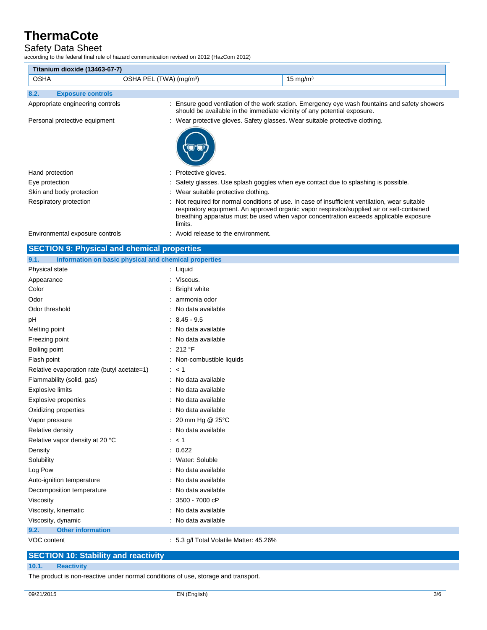## Safety Data Sheet

according to the federal final rule of hazard communication revised on 2012 (HazCom 2012)

| Titanium dioxide (13463-67-7)    |                                     |                                                                              |                                                                                                                                                                                                                                                                                        |  |
|----------------------------------|-------------------------------------|------------------------------------------------------------------------------|----------------------------------------------------------------------------------------------------------------------------------------------------------------------------------------------------------------------------------------------------------------------------------------|--|
| <b>OSHA</b>                      | OSHA PEL (TWA) (mg/m <sup>3</sup> ) |                                                                              | $15 \text{ mg/m}^3$                                                                                                                                                                                                                                                                    |  |
| 8.2.<br><b>Exposure controls</b> |                                     |                                                                              |                                                                                                                                                                                                                                                                                        |  |
| Appropriate engineering controls |                                     | should be available in the immediate vicinity of any potential exposure.     | : Ensure good ventilation of the work station. Emergency eye wash fountains and safety showers                                                                                                                                                                                         |  |
| Personal protective equipment    |                                     | : Wear protective gloves. Safety glasses. Wear suitable protective clothing. |                                                                                                                                                                                                                                                                                        |  |
|                                  |                                     |                                                                              |                                                                                                                                                                                                                                                                                        |  |
| Hand protection                  |                                     | : Protective gloves.                                                         |                                                                                                                                                                                                                                                                                        |  |
| Eye protection                   |                                     |                                                                              | : Safety glasses. Use splash goggles when eye contact due to splashing is possible.                                                                                                                                                                                                    |  |
| Skin and body protection         |                                     | : Wear suitable protective clothing.                                         |                                                                                                                                                                                                                                                                                        |  |
| Respiratory protection           |                                     | limits.                                                                      | : Not required for normal conditions of use. In case of insufficient ventilation, wear suitable<br>respiratory equipment. An approved organic vapor respirator/supplied air or self-contained<br>breathing apparatus must be used when vapor concentration exceeds applicable exposure |  |
| Environmental exposure controls  |                                     | : Avoid release to the environment.                                          |                                                                                                                                                                                                                                                                                        |  |

| <b>SECTION 9: Physical and chemical properties</b>            |                                         |  |  |
|---------------------------------------------------------------|-----------------------------------------|--|--|
| Information on basic physical and chemical properties<br>9.1. |                                         |  |  |
| Physical state                                                | : Liquid                                |  |  |
| Appearance                                                    | : Viscous.                              |  |  |
| Color                                                         | <b>Bright white</b>                     |  |  |
| Odor                                                          | : ammonia odor                          |  |  |
| Odor threshold                                                | : No data available                     |  |  |
| pH                                                            | $: 8.45 - 9.5$                          |  |  |
| Melting point                                                 | : No data available                     |  |  |
| Freezing point                                                | : No data available                     |  |  |
| Boiling point                                                 | : 212 °F                                |  |  |
| Flash point                                                   | : Non-combustible liquids               |  |  |
| Relative evaporation rate (butyl acetate=1)                   | : < 1                                   |  |  |
| Flammability (solid, gas)                                     | : No data available                     |  |  |
| <b>Explosive limits</b>                                       | : No data available                     |  |  |
| <b>Explosive properties</b>                                   | : No data available                     |  |  |
| Oxidizing properties                                          | : No data available                     |  |  |
| Vapor pressure                                                | : 20 mm Hg @ 25°C                       |  |  |
| Relative density                                              | : No data available                     |  |  |
| Relative vapor density at 20 °C                               | : < 1                                   |  |  |
| Density                                                       | : 0.622                                 |  |  |
| Solubility                                                    | : Water: Soluble                        |  |  |
| Log Pow                                                       | : No data available                     |  |  |
| Auto-ignition temperature                                     | : No data available                     |  |  |
| Decomposition temperature                                     | No data available                       |  |  |
| Viscosity                                                     | $: 3500 - 7000$ cP                      |  |  |
| Viscosity, kinematic                                          | : No data available                     |  |  |
| Viscosity, dynamic                                            | : No data available                     |  |  |
| 9.2.<br><b>Other information</b>                              |                                         |  |  |
| VOC content                                                   | : 5.3 g/l Total Volatile Matter: 45.26% |  |  |

### **SECTION 10: Stability and reactivity**

#### **10.1. Reactivity**

The product is non-reactive under normal conditions of use, storage and transport.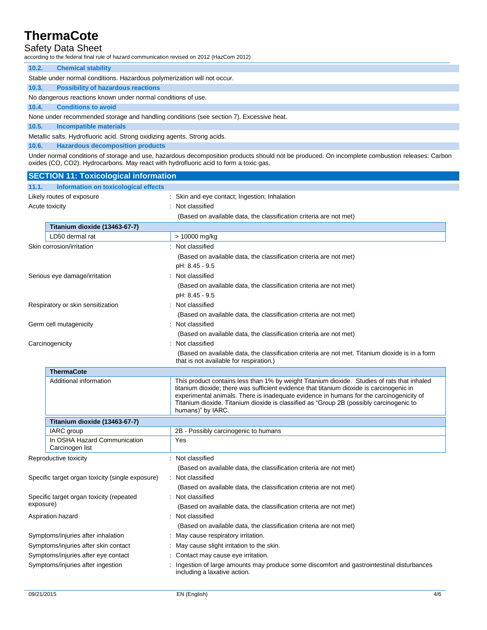## Safety Data Sheet

according to the federal final rule of hazard communication revised on 2012 (HazCom 2012)

### **10.2. Chemical stability**

|  | Stable under normal conditions. Hazardous polymerization will not occur. |
|--|--------------------------------------------------------------------------|
|--|--------------------------------------------------------------------------|

## **10.3. Possibility of hazardous reactions**

No dangerous reactions known under normal conditions of use.

#### **10.4. Conditions to avoid**

None under recommended storage and handling conditions (see section 7). Excessive heat.

### **10.5. Incompatible materials**

Metallic salts. Hydrofluoric acid. Strong oxidizing agents. Strong acids.

**10.6. Hazardous decomposition products**

Under normal conditions of storage and use, hazardous decomposition products should not be produced. On incomplete combustion releases: Carbon oxides (CO, CO2). Hydrocarbons. May react with hydrofluoric acid to form a toxic gas.

| <b>SECTION 11: Toxicological information</b>          |                                                  |                                                                                                                                                                                                                                                                                                                                                                                                    |  |  |  |
|-------------------------------------------------------|--------------------------------------------------|----------------------------------------------------------------------------------------------------------------------------------------------------------------------------------------------------------------------------------------------------------------------------------------------------------------------------------------------------------------------------------------------------|--|--|--|
| 11.1.                                                 | Information on toxicological effects             |                                                                                                                                                                                                                                                                                                                                                                                                    |  |  |  |
| Likely routes of exposure                             |                                                  | : Skin and eye contact; Ingestion; Inhalation                                                                                                                                                                                                                                                                                                                                                      |  |  |  |
| Acute toxicity                                        |                                                  | : Not classified                                                                                                                                                                                                                                                                                                                                                                                   |  |  |  |
|                                                       |                                                  | (Based on available data, the classification criteria are not met)                                                                                                                                                                                                                                                                                                                                 |  |  |  |
|                                                       | Titanium dioxide (13463-67-7)                    |                                                                                                                                                                                                                                                                                                                                                                                                    |  |  |  |
|                                                       | LD50 dermal rat                                  | > 10000 mg/kg                                                                                                                                                                                                                                                                                                                                                                                      |  |  |  |
|                                                       | Skin corrosion/irritation                        | : Not classified                                                                                                                                                                                                                                                                                                                                                                                   |  |  |  |
|                                                       |                                                  | (Based on available data, the classification criteria are not met)                                                                                                                                                                                                                                                                                                                                 |  |  |  |
|                                                       |                                                  | pH: 8.45 - 9.5                                                                                                                                                                                                                                                                                                                                                                                     |  |  |  |
|                                                       | Serious eye damage/irritation                    | : Not classified                                                                                                                                                                                                                                                                                                                                                                                   |  |  |  |
|                                                       |                                                  | (Based on available data, the classification criteria are not met)                                                                                                                                                                                                                                                                                                                                 |  |  |  |
|                                                       |                                                  | pH: 8.45 - 9.5                                                                                                                                                                                                                                                                                                                                                                                     |  |  |  |
|                                                       | Respiratory or skin sensitization                | Not classified                                                                                                                                                                                                                                                                                                                                                                                     |  |  |  |
|                                                       |                                                  | (Based on available data, the classification criteria are not met)                                                                                                                                                                                                                                                                                                                                 |  |  |  |
|                                                       | Germ cell mutagenicity                           | Not classified                                                                                                                                                                                                                                                                                                                                                                                     |  |  |  |
|                                                       |                                                  | (Based on available data, the classification criteria are not met)                                                                                                                                                                                                                                                                                                                                 |  |  |  |
|                                                       | Carcinogenicity                                  | Not classified                                                                                                                                                                                                                                                                                                                                                                                     |  |  |  |
|                                                       |                                                  | (Based on available data, the classification criteria are not met. Titanium dioxide is in a form<br>that is not available for respiration.)                                                                                                                                                                                                                                                        |  |  |  |
|                                                       | <b>ThermaCote</b>                                |                                                                                                                                                                                                                                                                                                                                                                                                    |  |  |  |
|                                                       | Additional information                           | This product contains less than 1% by weight Titanium dioxide. Studies of rats that inhaled<br>titanium dioxide; there was sufficient evidence that titanium dioxide is carcinogenic in<br>experimental animals. There is inadequate evidence in humans for the carcinogenicity of<br>Titanium dioxide. Titanium dioxide is classified as "Group 2B (possibly carcinogenic to<br>humans)" by IARC. |  |  |  |
|                                                       | Titanium dioxide (13463-67-7)                    |                                                                                                                                                                                                                                                                                                                                                                                                    |  |  |  |
|                                                       | IARC group                                       | 2B - Possibly carcinogenic to humans                                                                                                                                                                                                                                                                                                                                                               |  |  |  |
|                                                       | In OSHA Hazard Communication<br>Carcinogen list  | Yes                                                                                                                                                                                                                                                                                                                                                                                                |  |  |  |
|                                                       | Reproductive toxicity                            | : Not classified                                                                                                                                                                                                                                                                                                                                                                                   |  |  |  |
|                                                       |                                                  | (Based on available data, the classification criteria are not met)                                                                                                                                                                                                                                                                                                                                 |  |  |  |
|                                                       | Specific target organ toxicity (single exposure) | : Not classified                                                                                                                                                                                                                                                                                                                                                                                   |  |  |  |
|                                                       |                                                  | (Based on available data, the classification criteria are not met)                                                                                                                                                                                                                                                                                                                                 |  |  |  |
| Specific target organ toxicity (repeated<br>exposure) |                                                  | Not classified                                                                                                                                                                                                                                                                                                                                                                                     |  |  |  |
|                                                       |                                                  | (Based on available data, the classification criteria are not met)                                                                                                                                                                                                                                                                                                                                 |  |  |  |
| Aspiration hazard                                     |                                                  | Not classified                                                                                                                                                                                                                                                                                                                                                                                     |  |  |  |
|                                                       |                                                  | (Based on available data, the classification criteria are not met)                                                                                                                                                                                                                                                                                                                                 |  |  |  |
| Symptoms/injuries after inhalation                    |                                                  | : May cause respiratory irritation.                                                                                                                                                                                                                                                                                                                                                                |  |  |  |
| Symptoms/injuries after skin contact                  |                                                  | May cause slight irritation to the skin.                                                                                                                                                                                                                                                                                                                                                           |  |  |  |
|                                                       | Symptoms/injuries after eye contact              | Contact may cause eye irritation.                                                                                                                                                                                                                                                                                                                                                                  |  |  |  |
|                                                       | Symptoms/injuries after ingestion                | Ingestion of large amounts may produce some discomfort and gastrointestinal disturbances<br>including a laxative action.                                                                                                                                                                                                                                                                           |  |  |  |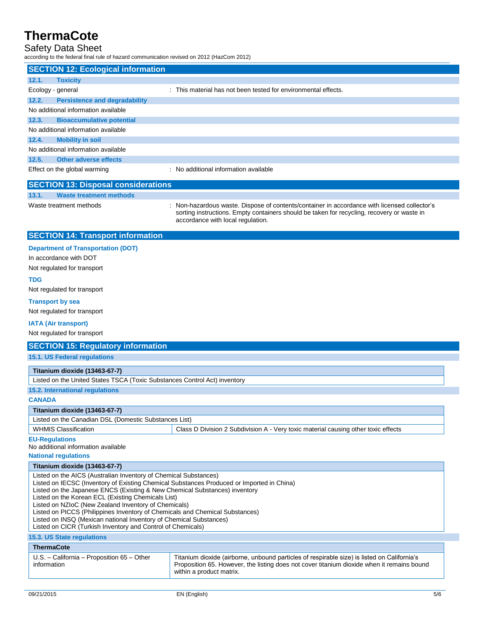## Safety Data Sheet

according to the federal final rule of hazard communication revised on 2012 (HazCom 2012)

|                                            | <b>SECTION 12: Ecological information</b> |                                                                                              |  |
|--------------------------------------------|-------------------------------------------|----------------------------------------------------------------------------------------------|--|
| 12.1.                                      | <b>Toxicity</b>                           |                                                                                              |  |
|                                            | Ecology - general                         | : This material has not been tested for environmental effects.                               |  |
| 12.2.                                      | <b>Persistence and degradability</b>      |                                                                                              |  |
|                                            | No additional information available       |                                                                                              |  |
| 12.3.                                      | <b>Bioaccumulative potential</b>          |                                                                                              |  |
|                                            | No additional information available       |                                                                                              |  |
| 12.4.                                      | <b>Mobility in soil</b>                   |                                                                                              |  |
|                                            | No additional information available       |                                                                                              |  |
| 12.5.                                      | Other adverse effects                     |                                                                                              |  |
|                                            | Effect on the global warming              | : No additional information available                                                        |  |
| <b>SECTION 13: Disposal considerations</b> |                                           |                                                                                              |  |
| 13.1.                                      | <b>Waste treatment methods</b>            |                                                                                              |  |
|                                            | Waste treatment methods                   | : Non-hazardous waste. Dispose of contents/container in accordance with licensed collector's |  |

accordance with local regulation.

sorting instructions. Empty containers should be taken for recycling, recovery or waste in

### **SECTION 14: Transport information**

|  | <b>Department of Transportation (DOT)</b> |  |
|--|-------------------------------------------|--|
|  |                                           |  |

In accordance with DOT

Not regulated for transport

#### **TDG**

Not regulated for transport

#### **Transport by sea**

Not regulated for transport

#### **IATA (Air transport)**

Not regulated for transport

| <b>SECTION 15: Regulatory information</b>                                                                                             |                                                                                             |  |
|---------------------------------------------------------------------------------------------------------------------------------------|---------------------------------------------------------------------------------------------|--|
| <b>15.1. US Federal regulations</b>                                                                                                   |                                                                                             |  |
|                                                                                                                                       |                                                                                             |  |
| Titanium dioxide (13463-67-7)                                                                                                         |                                                                                             |  |
| Listed on the United States TSCA (Toxic Substances Control Act) inventory                                                             |                                                                                             |  |
| 15.2. International regulations                                                                                                       |                                                                                             |  |
| <b>CANADA</b>                                                                                                                         |                                                                                             |  |
| Titanium dioxide (13463-67-7)                                                                                                         |                                                                                             |  |
| Listed on the Canadian DSL (Domestic Substances List)                                                                                 |                                                                                             |  |
| <b>WHMIS Classification</b>                                                                                                           | Class D Division 2 Subdivision A - Very toxic material causing other toxic effects          |  |
| <b>EU-Regulations</b>                                                                                                                 |                                                                                             |  |
| No additional information available                                                                                                   |                                                                                             |  |
| <b>National regulations</b>                                                                                                           |                                                                                             |  |
| Titanium dioxide (13463-67-7)                                                                                                         |                                                                                             |  |
| Listed on the AICS (Australian Inventory of Chemical Substances)                                                                      |                                                                                             |  |
| Listed on IECSC (Inventory of Existing Chemical Substances Produced or Imported in China)                                             |                                                                                             |  |
| Listed on the Japanese ENCS (Existing & New Chemical Substances) inventory<br>Listed on the Korean ECL (Existing Chemicals List)      |                                                                                             |  |
| Listed on NZIoC (New Zealand Inventory of Chemicals)                                                                                  |                                                                                             |  |
| Listed on PICCS (Philippines Inventory of Chemicals and Chemical Substances)                                                          |                                                                                             |  |
| Listed on INSQ (Mexican national Inventory of Chemical Substances)                                                                    |                                                                                             |  |
| Listed on CICR (Turkish Inventory and Control of Chemicals)                                                                           |                                                                                             |  |
| <b>15.3. US State regulations</b>                                                                                                     |                                                                                             |  |
| <b>ThermaCote</b>                                                                                                                     |                                                                                             |  |
| $U.S. - California - Proposition 65 - Other$                                                                                          | Titanium dioxide (airborne, unbound particles of respirable size) is listed on California's |  |
| Proposition 65. However, the listing does not cover titanium dioxide when it remains bound<br>information<br>within a product matrix. |                                                                                             |  |